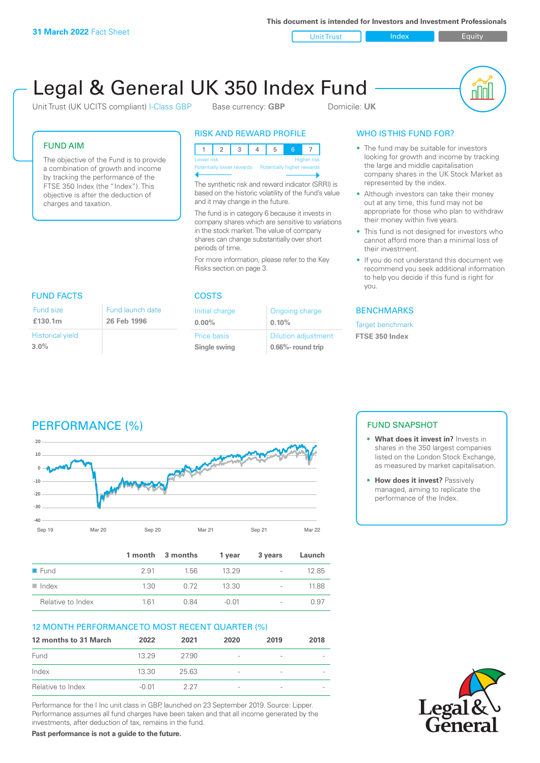**This document is intended for Investors and Investment Professionals**

Unit Trust Index **Index** Equity

# Legal & General UK 350 Index Fund

Unit Trust (UK UCITS compliant) I-Class GBP Base currency: **GBP** Domicile: UK



#### FUND AIM

The objective of the Fund is to provide a combination of growth and income by tracking the performance of the FTSE 350 Index (the "Index"). This objective is after the deduction of charges and taxation.

#### RISK AND REWARD PROFILE

| Lower risk |  |  |                                                       |  | <b>Higher risk</b> |  |
|------------|--|--|-------------------------------------------------------|--|--------------------|--|
|            |  |  | Potentially lower rewards  Potentially higher rewards |  |                    |  |
|            |  |  |                                                       |  |                    |  |

The synthetic risk and reward indicator (SRRI) is based on the historic volatility of the fund's value and it may change in the future.

The fund is in category 6 because it invests in company shares which are sensitive to variations in the stock market. The value of company shares can change substantially over short periods of time.

For more information, please refer to the Key Risks section on page 3.

| <b>FUND FACTS</b>       |                  |  |  |
|-------------------------|------------------|--|--|
| Fund size               | Fund launch date |  |  |
| £130.1m                 | 26 Feb 1996      |  |  |
| <b>Historical yield</b> |                  |  |  |
| $3.0\%$                 |                  |  |  |

#### COSTS

| Initial charge     | Ongoing charge             |
|--------------------|----------------------------|
| $0.00\%$           | 0.10%                      |
| <b>Price basis</b> | <b>Dilution adjustment</b> |
| Single swing       | 0.66%- round trip          |

### WHO IS THIS FUND FOR?

- The fund may be suitable for investors looking for growth and income by tracking the large and middle capitalisation company shares in the UK Stock Market as represented by the index.
- Although investors can take their money out at any time, this fund may not be appropriate for those who plan to withdraw their money within five years.
- This fund is not designed for investors who cannot afford more than a minimal loss of their investment.
- If you do not understand this document we recommend you seek additional information to help you decide if this fund is right for you.

#### **BENCHMARKS**

Target benchmark **FTSE 350 Index**

## PERFORMANCE (%)



|                      |      | 1 month 3 months | 1 year | 3 years                  | Launch |
|----------------------|------|------------------|--------|--------------------------|--------|
| $\blacksquare$ Fund  | 291  | 156              | 13.29  | $\overline{\phantom{a}}$ | 12.85  |
| $\blacksquare$ Index | 1.30 | O 72             | 13.30  | $\overline{\phantom{a}}$ | 11.88  |
| Relative to Index    | 161  | 0.84             | -0.01  | $\overline{\phantom{a}}$ | O 97   |

#### 12 MONTH PERFORMANCE TO MOST RECENT QUARTER (%)

| 12 months to 31 March | 2022    | 2021  | 2020                     | 2019                     | 2018 |
|-----------------------|---------|-------|--------------------------|--------------------------|------|
| Fund                  | 13 29   | 2790  | $\overline{\phantom{a}}$ | $\overline{\phantom{a}}$ |      |
| Index                 | 13.30   | 25.63 | -                        | $\overline{\phantom{a}}$ |      |
| Relative to Index     | $-0.01$ | 2.27  | -                        | $\overline{\phantom{a}}$ |      |

Performance for the I Inc unit class in GBP, launched on 23 September 2019. Source: Lipper. Performance assumes all fund charges have been taken and that all income generated by the investments, after deduction of tax, remains in the fund.

**Past performance is not a guide to the future.**

#### FUND SNAPSHOT

- **• What does it invest in?** Invests in shares in the 350 largest companies listed on the London Stock Exchange, as measured by market capitalisation.
- **• How does it invest?** Passively managed, aiming to replicate the performance of the Index.

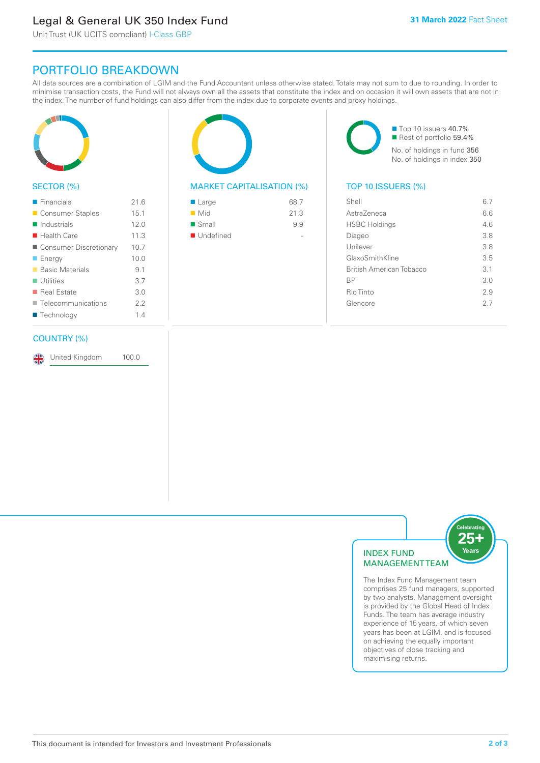### Legal & General UK 350 Index Fund

Unit Trust (UK UCITS compliant) I-Class GBP

### PORTFOLIO BREAKDOWN

All data sources are a combination of LGIM and the Fund Accountant unless otherwise stated. Totals may not sum to due to rounding. In order to minimise transaction costs, the Fund will not always own all the assets that constitute the index and on occasion it will own assets that are not in the index. The number of fund holdings can also differ from the index due to corporate events and proxy holdings.



#### SECTOR (%)

| $\blacksquare$ Financials  | 216  |
|----------------------------|------|
| ■ Consumer Staples         | 15.1 |
| $\blacksquare$ Industrials | 12.0 |
| $\blacksquare$ Health Care | 11.3 |
| ■ Consumer Discretionary   | 10.7 |
| $\blacksquare$ Energy      | 10.0 |
| ■ Basic Materials          | 9.1  |
| $\blacksquare$ Utilities   | 3.7  |
| ■ Real Estate              | 3.0  |
| Telecommunications         | 2.2  |
| ■ Technology               | 14   |
|                            |      |

#### COUNTRY (%)

United Kingdom 100.0

#### MARKET CAPITALISATION (%) TOP 10 ISSUERS (%)

| ■ Large            | 68.7 |
|--------------------|------|
| $\blacksquare$ Mid | 21.3 |
| ■ Small            | 9.9  |
| ■ Undefined        |      |

■ Top 10 issuers 40.7% ■ Rest of portfolio 59.4% No. of holdings in fund 356 No. of holdings in index 350

| Shell                           | 6.7 |
|---------------------------------|-----|
| Astra7eneca                     | 66  |
| <b>HSBC Holdings</b>            | 4.6 |
| Diageo                          | 3.8 |
| Unilever                        | 3.8 |
| GlaxoSmithKline                 | 35  |
| <b>British American Tobacco</b> | 3.1 |
| <b>BP</b>                       | 3.0 |
| Rio Tinto                       | 2.9 |
| Glencore                        | 27  |
|                                 |     |



elebratir

The Index Fund Management team comprises 25 fund managers, supported by two analysts. Management oversight is provided by the Global Head of Index Funds. The team has average industry experience of 15 years, of which seven years has been at LGIM, and is focused on achieving the equally important objectives of close tracking and maximising returns.